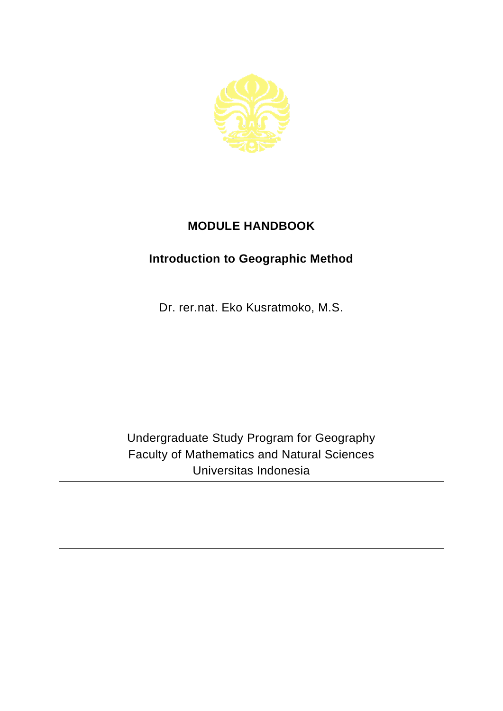

## **MODULE HANDBOOK**

## **Introduction to Geographic Method**

Dr. rer.nat. Eko Kusratmoko, M.S.

Undergraduate Study Program for Geography Faculty of Mathematics and Natural Sciences Universitas Indonesia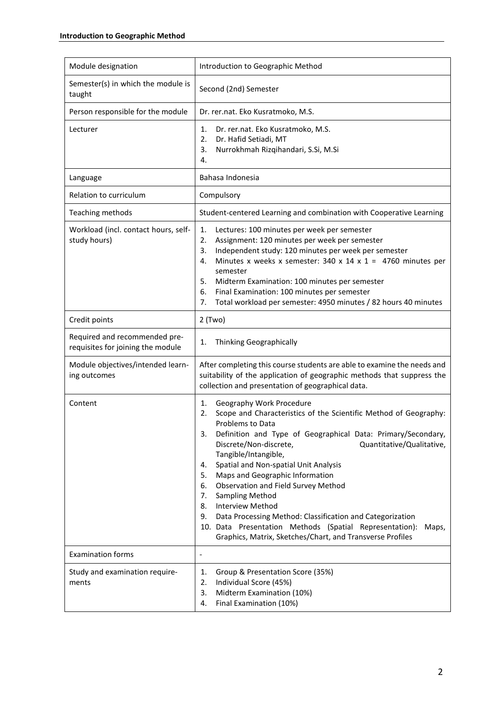| Module designation                                                 | Introduction to Geographic Method                                                                                                                                                                                                                                                                                                                                                                                                                                                                                                                                                                                                                                                                  |
|--------------------------------------------------------------------|----------------------------------------------------------------------------------------------------------------------------------------------------------------------------------------------------------------------------------------------------------------------------------------------------------------------------------------------------------------------------------------------------------------------------------------------------------------------------------------------------------------------------------------------------------------------------------------------------------------------------------------------------------------------------------------------------|
| Semester(s) in which the module is<br>taught                       | Second (2nd) Semester                                                                                                                                                                                                                                                                                                                                                                                                                                                                                                                                                                                                                                                                              |
| Person responsible for the module                                  | Dr. rer.nat. Eko Kusratmoko, M.S.                                                                                                                                                                                                                                                                                                                                                                                                                                                                                                                                                                                                                                                                  |
| Lecturer                                                           | Dr. rer.nat. Eko Kusratmoko, M.S.<br>1.<br>2.<br>Dr. Hafid Setiadi, MT<br>3.<br>Nurrokhmah Rizqihandari, S.Si, M.Si<br>4.                                                                                                                                                                                                                                                                                                                                                                                                                                                                                                                                                                          |
| Language                                                           | Bahasa Indonesia                                                                                                                                                                                                                                                                                                                                                                                                                                                                                                                                                                                                                                                                                   |
| Relation to curriculum                                             | Compulsory                                                                                                                                                                                                                                                                                                                                                                                                                                                                                                                                                                                                                                                                                         |
| Teaching methods                                                   | Student-centered Learning and combination with Cooperative Learning                                                                                                                                                                                                                                                                                                                                                                                                                                                                                                                                                                                                                                |
| Workload (incl. contact hours, self-<br>study hours)               | 1.<br>Lectures: 100 minutes per week per semester<br>Assignment: 120 minutes per week per semester<br>2.<br>Independent study: 120 minutes per week per semester<br>3.<br>Minutes x weeks x semester: 340 x 14 x 1 = 4760 minutes per<br>4.<br>semester<br>5.<br>Midterm Examination: 100 minutes per semester<br>6.<br>Final Examination: 100 minutes per semester<br>Total workload per semester: 4950 minutes / 82 hours 40 minutes<br>7.                                                                                                                                                                                                                                                       |
| Credit points                                                      | $2$ (Two)                                                                                                                                                                                                                                                                                                                                                                                                                                                                                                                                                                                                                                                                                          |
| Required and recommended pre-<br>requisites for joining the module | Thinking Geographically<br>1.                                                                                                                                                                                                                                                                                                                                                                                                                                                                                                                                                                                                                                                                      |
| Module objectives/intended learn-<br>ing outcomes                  | After completing this course students are able to examine the needs and<br>suitability of the application of geographic methods that suppress the<br>collection and presentation of geographical data.                                                                                                                                                                                                                                                                                                                                                                                                                                                                                             |
| Content                                                            | Geography Work Procedure<br>1.<br>Scope and Characteristics of the Scientific Method of Geography:<br>2.<br><b>Problems to Data</b><br>Definition and Type of Geographical Data: Primary/Secondary,<br>3.<br>Discrete/Non-discrete,<br>Quantitative/Qualitative,<br>Tangible/Intangible,<br>Spatial and Non-spatial Unit Analysis<br>4.<br>Maps and Geographic Information<br>5.<br>Observation and Field Survey Method<br>6.<br><b>Sampling Method</b><br>7.<br><b>Interview Method</b><br>8.<br>Data Processing Method: Classification and Categorization<br>9.<br>10. Data Presentation Methods (Spatial Representation):<br>Maps,<br>Graphics, Matrix, Sketches/Chart, and Transverse Profiles |
| <b>Examination forms</b>                                           | $\qquad \qquad \blacksquare$                                                                                                                                                                                                                                                                                                                                                                                                                                                                                                                                                                                                                                                                       |
| Study and examination require-<br>ments                            | Group & Presentation Score (35%)<br>1.<br>Individual Score (45%)<br>2.<br>3.<br>Midterm Examination (10%)<br>Final Examination (10%)<br>4.                                                                                                                                                                                                                                                                                                                                                                                                                                                                                                                                                         |